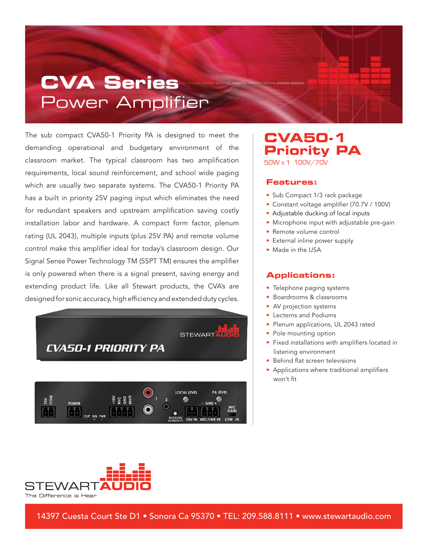## **CVA Series** Power Amplifier

The sub compact CVA50-1 Priority PA is designed to meet the demanding operational and budgetary environment of the classroom market. The typical classroom has two amplification requirements, local sound reinforcement, and school wide paging which are usually two separate systems. The CVA50-1 Priority PA has a built in priority 25V paging input which eliminates the need for redundant speakers and upstream amplification saving costly installation labor and hardware. A compact form factor, plenum rating (UL 2043), multiple inputs (plus 25V PA) and remote volume control make this amplifier ideal for today's classroom design. Our Signal Sense Power Technology TM (SSPT TM) ensures the amplifier is only powered when there is a signal present, saving energy and extending product life. Like all Stewart products, the CVA's are designed for sonic accuracy, high efficiency and extended duty cycles.





### **CVA50-1 Priority PA** 50W x 1 100V/70V

#### **Features:**

- Sub Compact 1/3 rack package
- Constant voltage amplifier (70.7V / 100V)
- Adjustable ducking of local inputs
- Microphone input with adjustable pre-gain
- Remote volume control
- External inline power supply
- Made in the USA

#### **Applications:**

- Telephone paging systems
- Boardrooms & classrooms
- AV projection systems
- Lecterns and Podiums
- Plenum applications, UL 2043 rated
- Pole mounting option
- Fixed installations with amplifiers located in listening environment
- Behind flat screen televisions
- Applications where traditional amplifiers won't fit